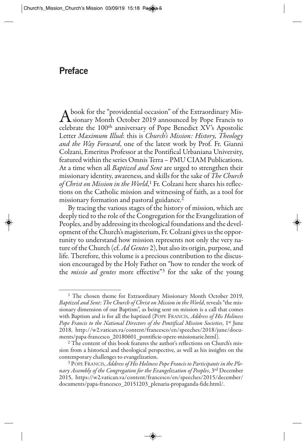## **Preface**

A book for the "providential occasion" of the Extraordinary Mis-<br>sionary Month October 2019 announced by Pope Francis to celebrate the 100th anniversary of Pope Benedict XV's Apostolic Letter *Maximum Illud*: this is *Church's Mission: History, Theology and the Way Forward*, one of the latest work by Prof. Fr. Gianni Colzani, Emeritus Professor at the Pontifical Urbaniana University, featured within the series Omnis Terra – PMU CIAM Publications. At a time when all *Baptized and Sent* are urged to strengthen their missionary identity, awareness, and skills for the sake of *The Church of Christ on Mission in the World*, <sup>1</sup> Fr. Colzani here shares his reflections on the Catholic mission and witnessing of faith, as a tool for missionary formation and pastoral guidance.<sup>2</sup>

By tracing the various stages of the history of mission, which are deeply tied to the role of the Congregation for the Evangelization of Peoples, and by addressing its theological foundations and the development of the Church's magisterium, Fr. Colzani gives us the opportunity to understand how mission represents not only the very nature of the Church (cf. *Ad Gentes* 2), but also its origin, purpose, and life. Therefore, this volume is a precious contribution to the discussion encouraged by the Holy Father on "how to render the work of the *missio ad gentes* more effective"3 for the sake of the young

<sup>&</sup>lt;sup>1</sup> The chosen theme for Extraordinary Missionary Month October 2019, *Baptized and Sent: The Church of Christ on Mission in the World*, reveals "the missionary dimension of our Baptism", as being sent on mission is a call that comes with Baptism and is for all the baptized (POPE FRANCIS, *Address of His Holiness Pope Francis to the National Directors of the Pontifical Mission Societies*, 1st June 2018, http://w2.vatican.va/content/francesco/en/speeches/2018/june/documents/papa-francesco\_20180601\_pontificie-opere-missionarie.html).

<sup>&</sup>lt;sup>2</sup> The content of this book features the author's reflections on Church's mission from a historical and theological perspective, as well as his insights on the contemporary challenges to evangelization.

<sup>3</sup> POPE FRANCIS, *Address of His Holiness Pope Francis to Participants in the Plenary Assembly of the Congregation for the Evangelization of Peoples*, 3rd December 2015, https://w2.vatican.va/content/francesco/en/speeches/2015/december/ documents/papa-francesco\_20151203\_plenaria-propaganda-fide.html/.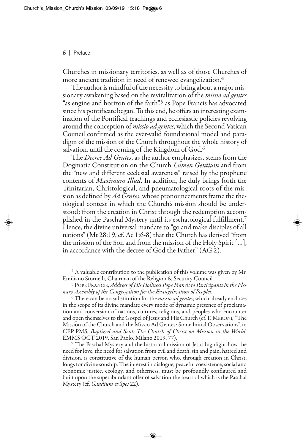Churches in missionary territories, as well as of those Churches of more ancient tradition in need of renewed evangelization.4

The author is mindful of the necessity to bring about a major missionary awakening based on the revitalization of the *missio ad gentes* "as engine and horizon of the faith",5 as Pope Francis has advocated since his pontificate began. To this end, he offers an interesting examination of the Pontifical teachings and ecclesiastic policies revolving around the conception of *missio ad gentes*, which the Second Vatican Council confirmed as the ever-valid foundational model and paradigm of the mission of the Church throughout the whole history of salvation, until the coming of the Kingdom of God.<sup>6</sup>

The *Decree Ad Gentes*, as the author emphasizes, stems from the Dogmatic Constitution on the Church *Lumen Gentium* and from the "new and different ecclesial awareness" raised by the prophetic contents of *Maximum Illud*. In addition, he duly brings forth the Trinitarian, Christological, and pneumatological roots of the mission as defined by *Ad Gentes*, whose pronouncements frame the theological context in which the Church's mission should be understood: from the creation in Christ through the redemption accomplished in the Paschal Mystery until its eschatological fulfillment.7 Hence, the divine universal mandate to "go and make disciples of all nations" (Mt 28:19, cf. Ac 1:6-8) that the Church has derived "from the mission of the Son and from the mission of the Holy Spirit […], in accordance with the decree of God the Father" (AG 2).

 $4$  A valuable contribution to the publication of this volume was given by Mr. Emiliano Stornelli, Chairman of the Religion & Security Council.

<sup>5</sup> POPE FRANCIS, *Address of His Holiness Pope Francis to Participants in the Plenary Assembly of the Congregation for the Evangelization of Peoples.*

<sup>6</sup> There can be no substitution for the *missio ad gentes*, which already encloses in the scope of its divine mandate every mode of dynamic presence of proclamation and conversion of nations, cultures, religions, and peoples who encounter and open themselves to the Gospel of Jesus and His Church (cf. F. MERONI, "The Mission of the Church and the Missio Ad Gentes: Some Initial Observations", in CEP-PMS, *Baptized and Sent. The Church of Christ on Mission in the World*, EMMS OCT 2019, San Paolo, Milano 2019, 77).

<sup>7</sup> The Paschal Mystery and the historical mission of Jesus highlight how the need for love, the need for salvation from evil and death, sin and pain, hatred and division, is constitutive of the human person who, through creation in Christ, longs for divine sonship. The interest in dialogue, peaceful coexistence, social and economic justice, ecology, and otherness, must be profoundly configured and built upon the superabundant offer of salvation the heart of which is the Paschal Mystery (cf. *Gaudium et Spes* 22).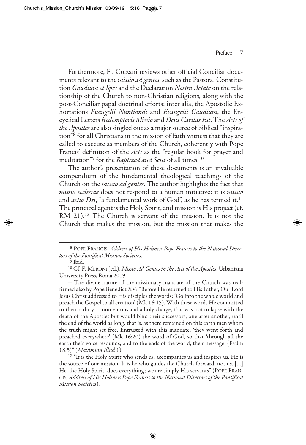Furthermore, Fr. Colzani reviews other official Conciliar documents relevant to the *missio ad gentes*, such as the Pastoral Constitution *Gaudium et Spes*and the Declaration *Nostra Aetate* on the relationship of the Church to non-Christian religions, along with the post-Conciliar papal doctrinal efforts: inter alia, the Apostolic Exhortations *Evangelii Nuntiandi* and *Evangelii Gaudium*, the Encyclical Letters *Redemptoris Missio* and *Deus Caritas Est*. The *Acts of the Apostles*are also singled out as a major source of biblical "inspiration"8 for all Christians in the mission of faith witness that they are called to execute as members of the Church, coherently with Pope Francis' definition of the *Acts* as the "regular book for prayer and meditation"9 for the *Baptized and Sent* of all times.10

The author's presentation of these documents is an invaluable compendium of the fundamental theological teachings of the Church on the *missio ad gentes*. The author highlights the fact that *missio ecclesiae* does not respond to a human initiative: it is *missio* and *actio Dei*, "a fundamental work of God", as he has termed it.<sup>11</sup> The principal agent is the Holy Spirit, and mission is His project (cf. RM 21).<sup>12</sup> The Church is servant of the mission. It is not the Church that makes the mission, but the mission that makes the

<sup>18</sup> POPE FRANCIS, *Address of His Holiness Pope Francis to the National Directors of the Pontifical Mission Societies*.

<sup>&</sup>lt;sup>9</sup> Ibid.

<sup>10</sup> Cf. F. MERONI (ed.), *Missio Ad Gentes in the Acts of the Apostles*, Urbaniana University Press, Roma 2019.

<sup>&</sup>lt;sup>11</sup> The divine nature of the missionary mandate of the Church was reaffirmed also by Pope Benedict XV: "Before He returned to His Father, Our Lord Jesus Christ addressed to His disciples the words: 'Go into the whole world and preach the Gospel to all creation' (Mk 16:15). With these words He committed to them a duty, a momentous and a holy charge, that was not to lapse with the death of the Apostles but would bind their successors, one after another, until the end of the world as long, that is, as there remained on this earth men whom the truth might set free. Entrusted with this mandate, 'they went forth and preached everywhere' (Mk 16:20) the word of God, so that 'through all the earth their voice resounds, and to the ends of the world, their message' (Psalm 18:5)" (*Maximum Illud* 1).

<sup>&</sup>lt;sup>12</sup> "It is the Holy Spirit who sends us, accompanies us and inspires us. He is the source of our mission. It is he who guides the Church forward, not us. […] He, the Holy Spirit, does everything; we are simply His servants" (POPE FRAN-CIS, *Address of His Holiness Pope Francis to the National Directors of the Pontifical Mission Societies*).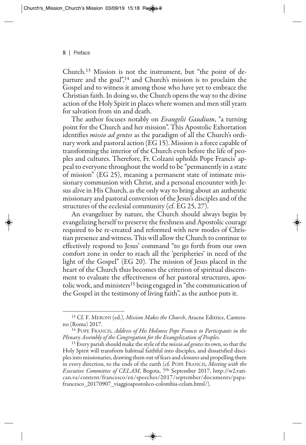Church.13 Mission is not the instrument, but "the point of departure and the goal",<sup>14</sup> and Church's mission is to proclaim the Gospel and to witness it among those who have yet to embrace the Christian faith. In doing so, the Church opens the way to the divine action of the Holy Spirit in places where women and men still yearn for salvation from sin and death.

The author focuses notably on *Evangelii Gaudium*, "a turning point for the Church and her mission". This Apostolic Exhortation identifies *missio ad gentes* as the paradigm of all the Church's ordinary work and pastoral action (EG 15). Mission is a force capable of transforming the interior of the Church even before the life of peoples and cultures. Therefore, Fr. Colzani upholds Pope Francis' appeal to everyone throughout the world to be "permanently in a state of mission" (EG 25), meaning a permanent state of intimate missionary communion with Christ, and a personal encounter with Jesus alive in His Church, as the only way to bring about an authentic missionary and pastoral conversion of the Jesus's disciples and of the structures of the ecclesial community (cf. EG 25, 27).

An evangelizer by nature, the Church should always begin by evangelizing herself to preserve the freshness and Apostolic courage required to be re-created and reformed with new modes of Christian presence and witness. This will allow the Church to continue to effectively respond to Jesus' command "to go forth from our own comfort zone in order to reach all the 'peripheries' in need of the light of the Gospel" (EG 20). The mission of Jesus placed in the heart of the Church thus becomes the criterion of spiritual discernment to evaluate the effectiveness of her pastoral structures, apostolic work, and ministers<sup>15</sup> being engaged in "the communication of the Gospel in the testimony of living faith", as the author puts it.

<sup>13</sup> Cf. F. MERONI (ed.), *Mission Makes the Church*, Aracne Editrice, Canterano (Roma) 2017.

<sup>14</sup> POPE FRANCIS, *Address of His Holiness Pope Francis to Participants in the Plenary Assembly of the Congregation for the Evangelization of Peoples*.

<sup>15</sup> Every parish should make the style of the *missio ad gentes* its own, so that the Holy Spirit will transform habitual faithful into disciples, and dissatisfied disciples into missionaries, drawing them out of fears and closures and propelling them in every direction, to the ends of the earth (cf. POPE FRANCIS, *Meeting with the Executive Committee of CELAM*, Bogota, 7th September 2017, http://w2.vatican.va/content/francesco/en/speeches/2017/september/documents/papafrancesco 20170907 viaggioapostolico-colombia-celam.html/).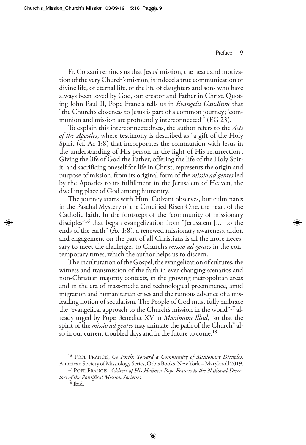Fr. Colzani reminds us that Jesus' mission, the heart and motivation of the very Church's mission, is indeed a true communication of divine life, of eternal life, of the life of daughters and sons who have always been loved by God, our creator and Father in Christ. Quoting John Paul II, Pope Francis tells us in *Evangelii Gaudium* that "the Church's closeness to Jesus is part of a common journey; 'communion and mission are profoundly interconnected'" (EG 23).

To explain this interconnectedness, the author refers to the *Acts of the Apostles*, where testimony is described as "a gift of the Holy Spirit (cf. Ac 1:8) that incorporates the communion with Jesus in the understanding of His person in the light of His resurrection". Giving the life of God the Father, offering the life of the Holy Spirit, and sacrificing oneself for life in Christ, represents the origin and purpose of mission, from its original form of the *missio ad gentes* led by the Apostles to its fulfillment in the Jerusalem of Heaven, the dwelling place of God among humanity.

The journey starts with Him, Colzani observes, but culminates in the Paschal Mystery of the Crucified Risen One, the heart of the Catholic faith. In the footsteps of the "community of missionary disciples"16 that began evangelization from "Jerusalem […] to the ends of the earth" (Ac 1:8), a renewed missionary awareness, ardor, and engagement on the part of all Christians is all the more necessary to meet the challenges to Church's *missio ad gentes* in the contemporary times, which the author helps us to discern.

The inculturation of the Gospel, the evangelization of cultures, the witness and transmission of the faith in ever-changing scenarios and non-Christian majority contexts, in the growing metropolitan areas and in the era of mass-media and technological preeminence, amid migration and humanitarian crises and the ruinous advance of a misleading notion of secularism. The People of God must fully embrace the "evangelical approach to the Church's mission in the world"17 already urged by Pope Benedict XV in *Maximum Illud*, "so that the spirit of the *missio ad gentes* may animate the path of the Church" also in our current troubled days and in the future to come.<sup>18</sup>

<sup>16</sup> POPE FRANCIS, *Go Forth: Toward a Community of Missionary Disciples*, American Society of Missiology Series, Orbis Books, New York – Maryknoll 2019.

<sup>17</sup> POPE FRANCIS, *Address of His Holiness Pope Francis to the National Directors of the Pontifical Mission Societies*.

<sup>18</sup> Ibid.